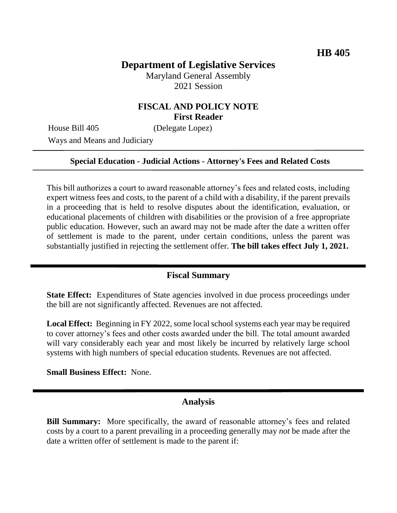# **Department of Legislative Services**

Maryland General Assembly 2021 Session

## **FISCAL AND POLICY NOTE First Reader**

House Bill 405 (Delegate Lopez)

Ways and Means and Judiciary

#### **Special Education - Judicial Actions - Attorney's Fees and Related Costs**

This bill authorizes a court to award reasonable attorney's fees and related costs, including expert witness fees and costs, to the parent of a child with a disability, if the parent prevails in a proceeding that is held to resolve disputes about the identification, evaluation, or educational placements of children with disabilities or the provision of a free appropriate public education. However, such an award may not be made after the date a written offer of settlement is made to the parent, under certain conditions, unless the parent was substantially justified in rejecting the settlement offer. **The bill takes effect July 1, 2021.**

#### **Fiscal Summary**

**State Effect:** Expenditures of State agencies involved in due process proceedings under the bill are not significantly affected. Revenues are not affected.

**Local Effect:** Beginning in FY 2022, some local school systems each year may be required to cover attorney's fees and other costs awarded under the bill. The total amount awarded will vary considerably each year and most likely be incurred by relatively large school systems with high numbers of special education students. Revenues are not affected.

**Small Business Effect:** None.

### **Analysis**

**Bill Summary:** More specifically, the award of reasonable attorney's fees and related costs by a court to a parent prevailing in a proceeding generally may *not* be made after the date a written offer of settlement is made to the parent if: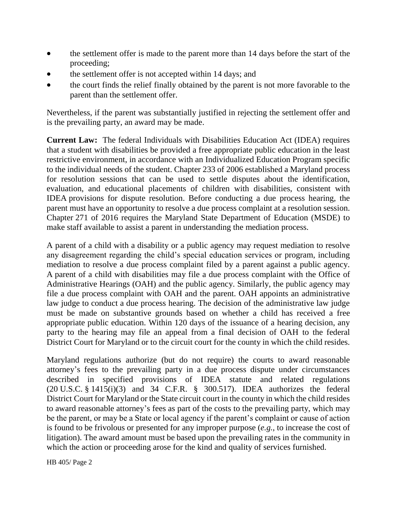- the settlement offer is made to the parent more than 14 days before the start of the proceeding;
- the settlement offer is not accepted within 14 days; and
- the court finds the relief finally obtained by the parent is not more favorable to the parent than the settlement offer.

Nevertheless, if the parent was substantially justified in rejecting the settlement offer and is the prevailing party, an award may be made.

**Current Law:** The federal Individuals with Disabilities Education Act (IDEA) requires that a student with disabilities be provided a free appropriate public education in the least restrictive environment, in accordance with an Individualized Education Program specific to the individual needs of the student. Chapter 233 of 2006 established a Maryland process for resolution sessions that can be used to settle disputes about the identification, evaluation, and educational placements of children with disabilities, consistent with IDEA provisions for dispute resolution. Before conducting a due process hearing, the parent must have an opportunity to resolve a due process complaint at a resolution session. Chapter 271 of 2016 requires the Maryland State Department of Education (MSDE) to make staff available to assist a parent in understanding the mediation process.

A parent of a child with a disability or a public agency may request mediation to resolve any disagreement regarding the child's special education services or program, including mediation to resolve a due process complaint filed by a parent against a public agency. A parent of a child with disabilities may file a due process complaint with the Office of Administrative Hearings (OAH) and the public agency. Similarly, the public agency may file a due process complaint with OAH and the parent. OAH appoints an administrative law judge to conduct a due process hearing. The decision of the administrative law judge must be made on substantive grounds based on whether a child has received a free appropriate public education. Within 120 days of the issuance of a hearing decision, any party to the hearing may file an appeal from a final decision of OAH to the federal District Court for Maryland or to the circuit court for the county in which the child resides.

Maryland regulations authorize (but do not require) the courts to award reasonable attorney's fees to the prevailing party in a due process dispute under circumstances described in specified provisions of IDEA statute and related regulations (20 U.S.C. § 1415(i)(3) and 34 C.F.R. § 300.517). IDEA authorizes the federal District Court for Maryland or the State circuit court in the county in which the child resides to award reasonable attorney's fees as part of the costs to the prevailing party, which may be the parent, or may be a State or local agency if the parent's complaint or cause of action is found to be frivolous or presented for any improper purpose (*e.g.*, to increase the cost of litigation). The award amount must be based upon the prevailing rates in the community in which the action or proceeding arose for the kind and quality of services furnished.

HB 405/ Page 2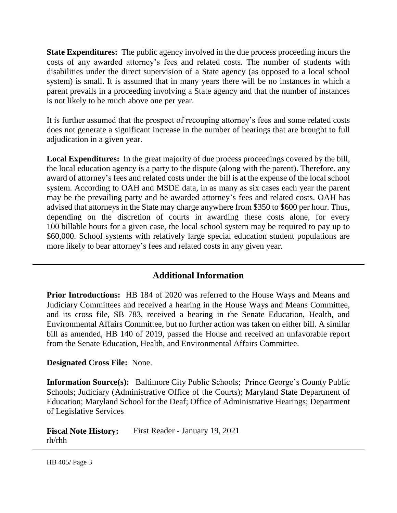**State Expenditures:** The public agency involved in the due process proceeding incurs the costs of any awarded attorney's fees and related costs. The number of students with disabilities under the direct supervision of a State agency (as opposed to a local school system) is small. It is assumed that in many years there will be no instances in which a parent prevails in a proceeding involving a State agency and that the number of instances is not likely to be much above one per year.

It is further assumed that the prospect of recouping attorney's fees and some related costs does not generate a significant increase in the number of hearings that are brought to full adjudication in a given year.

**Local Expenditures:** In the great majority of due process proceedings covered by the bill, the local education agency is a party to the dispute (along with the parent). Therefore, any award of attorney's fees and related costs under the bill is at the expense of the local school system. According to OAH and MSDE data, in as many as six cases each year the parent may be the prevailing party and be awarded attorney's fees and related costs. OAH has advised that attorneys in the State may charge anywhere from \$350 to \$600 per hour. Thus, depending on the discretion of courts in awarding these costs alone, for every 100 billable hours for a given case, the local school system may be required to pay up to \$60,000. School systems with relatively large special education student populations are more likely to bear attorney's fees and related costs in any given year.

## **Additional Information**

**Prior Introductions:** HB 184 of 2020 was referred to the House Ways and Means and Judiciary Committees and received a hearing in the House Ways and Means Committee, and its cross file, SB 783, received a hearing in the Senate Education, Health, and Environmental Affairs Committee, but no further action was taken on either bill. A similar bill as amended, HB 140 of 2019, passed the House and received an unfavorable report from the Senate Education, Health, and Environmental Affairs Committee.

### **Designated Cross File:** None.

**Information Source(s):** Baltimore City Public Schools; Prince George's County Public Schools; Judiciary (Administrative Office of the Courts); Maryland State Department of Education; Maryland School for the Deaf; Office of Administrative Hearings; Department of Legislative Services

**Fiscal Note History:** First Reader - January 19, 2021 rh/rhh